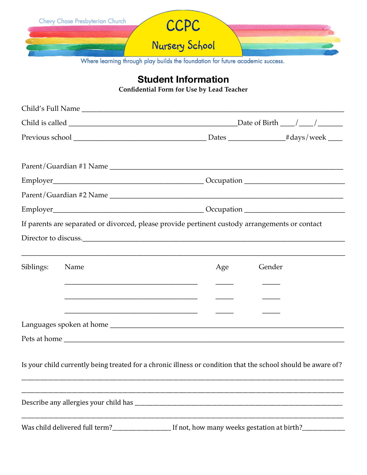|                                                                                | <b>Nursery School</b>                                                                          |  |
|--------------------------------------------------------------------------------|------------------------------------------------------------------------------------------------|--|
|                                                                                | Where learning through play builds the foundation for future academic success.                 |  |
| <b>Student Information</b><br><b>Confidential Form for Use by Lead Teacher</b> |                                                                                                |  |
|                                                                                |                                                                                                |  |
|                                                                                |                                                                                                |  |
|                                                                                |                                                                                                |  |
|                                                                                |                                                                                                |  |
|                                                                                | If parents are separated or divorced, please provide pertinent custody arrangements or contact |  |
| Siblings:<br>Name                                                              | Gender<br>Age                                                                                  |  |
|                                                                                |                                                                                                |  |

Is your child currently being treated for a chronic illness or condition that the school should be aware of?

**Contract Contract** Was child delivered full term?\_\_\_\_\_\_\_\_\_\_\_\_\_\_\_\_\_\_\_\_\_\_\_\_ If not, how many weeks gestation at birth?\_\_\_\_\_\_\_\_\_\_\_\_\_